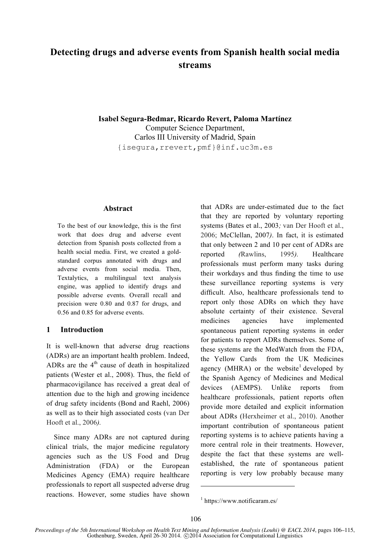# **Detecting drugs and adverse events from Spanish health social media streams**

**Isabel Segura-Bedmar, Ricardo Revert, Paloma Martínez** Computer Science Department, Carlos III University of Madrid, Spain {isegura,rrevert,pmf}@inf.uc3m.es

#### **Abstract**

To the best of our knowledge, this is the first work that does drug and adverse event detection from Spanish posts collected from a health social media. First, we created a goldstandard corpus annotated with drugs and adverse events from social media. Then, Textalytics, a multilingual text analysis engine, was applied to identify drugs and possible adverse events. Overall recall and precision were 0.80 and 0.87 for drugs, and 0.56 and 0.85 for adverse events.

#### **1 Introduction**

It is well-known that adverse drug reactions (ADRs) are an important health problem. Indeed, ADRs are the  $4<sup>th</sup>$  cause of death in hospitalized patients (Wester et al., 2008). Thus, the field of pharmacovigilance has received a great deal of attention due to the high and growing incidence of drug safety incidents (Bond and Raehl, 2006) as well as to their high associated costs (van Der Hooft et al., 2006*).*

Since many ADRs are not captured during clinical trials, the major medicine regulatory agencies such as the US Food and Drug Administration (FDA) or the European Medicines Agency (EMA) require healthcare professionals to report all suspected adverse drug reactions. However, some studies have shown that ADRs are under-estimated due to the fact that they are reported by voluntary reporting systems (Bates et al., 2003*;* van Der Hooft et al., 2006; McClellan, 2007*)*. In fact, it is estimated that only between 2 and 10 per cent of ADRs are reported *(*Rawlins, 1995*).* Healthcare professionals must perform many tasks during their workdays and thus finding the time to use these surveillance reporting systems is very difficult. Also, healthcare professionals tend to report only those ADRs on which they have absolute certainty of their existence. Several medicines agencies have implemented spontaneous patient reporting systems in order for patients to report ADRs themselves. Some of these systems are the MedWatch from the FDA, the Yellow Cards from the UK Medicines agency (MHRA) or the website<sup>1</sup> developed by the Spanish Agency of Medicines and Medical devices (AEMPS). Unlike reports from healthcare professionals, patient reports often provide more detailed and explicit information about ADRs (Herxheimer et al., 2010). Another important contribution of spontaneous patient reporting systems is to achieve patients having a more central role in their treatments. However, despite the fact that these systems are wellestablished, the rate of spontaneous patient reporting is very low probably because many

1

 $1$  https://www.notificaram.es/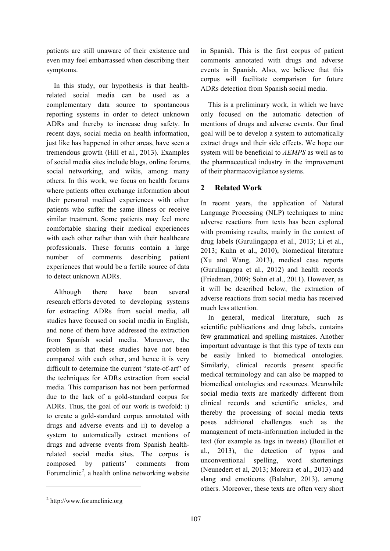patients are still unaware of their existence and even may feel embarrassed when describing their symptoms.

In this study, our hypothesis is that healthrelated social media can be used as a complementary data source to spontaneous reporting systems in order to detect unknown ADRs and thereby to increase drug safety. In recent days, social media on health information, just like has happened in other areas, have seen a tremendous growth (Hill et al., 2013)*.* Examples of social media sites include blogs, online forums*,*  social networking, and wikis, among many others. In this work, we focus on health forums where patients often exchange information about their personal medical experiences with other patients who suffer the same illness or receive similar treatment. Some patients may feel more comfortable sharing their medical experiences with each other rather than with their healthcare professionals. These forums contain a large number of comments describing patient experiences that would be a fertile source of data to detect unknown ADRs.

Although there have been several research efforts devoted to developing systems for extracting ADRs from social media, all studies have focused on social media in English, and none of them have addressed the extraction from Spanish social media. Moreover, the problem is that these studies have not been compared with each other, and hence it is very difficult to determine the current "state-of-art" of the techniques for ADRs extraction from social media. This comparison has not been performed due to the lack of a gold-standard corpus for ADRs. Thus, the goal of our work is twofold: i) to create a gold-standard corpus annotated with drugs and adverse events and ii) to develop a system to automatically extract mentions of drugs and adverse events from Spanish healthrelated social media sites. The corpus is composed by patients' comments from Forumclinic*<sup>2</sup>* , a health online networking website in Spanish. This is the first corpus of patient comments annotated with drugs and adverse events in Spanish. Also, we believe that this corpus will facilitate comparison for future ADRs detection from Spanish social media.

This is a preliminary work, in which we have only focused on the automatic detection of mentions of drugs and adverse events. Our final goal will be to develop a system to automatically extract drugs and their side effects. We hope our system will be beneficial to *AEMPS* as well as to the pharmaceutical industry in the improvement of their pharmacovigilance systems.

# **2 Related Work**

In recent years, the application of Natural Language Processing (NLP) techniques to mine adverse reactions from texts has been explored with promising results, mainly in the context of drug labels (Gurulingappa et al., 2013; Li et al., 2013; Kuhn et al., 2010), biomedical literature (Xu and Wang, 2013), medical case reports (Gurulingappa et al., 2012) and health records (Friedman, 2009; Sohn et al., 2011). However, as it will be described below, the extraction of adverse reactions from social media has received much less attention.

In general, medical literature, such as scientific publications and drug labels, contains few grammatical and spelling mistakes. Another important advantage is that this type of texts can be easily linked to biomedical ontologies. Similarly, clinical records present specific medical terminology and can also be mapped to biomedical ontologies and resources. Meanwhile social media texts are markedly different from clinical records and scientific articles, and thereby the processing of social media texts poses additional challenges such as the management of meta-information included in the text (for example as tags in tweets) (Bouillot et al., 2013), the detection of typos and unconventional spelling, word shortenings (Neunedert et al, 2013; Moreira et al., 2013) and slang and emoticons (Balahur, 2013), among others. Moreover, these texts are often very short

 $\overline{a}$ 

<sup>2</sup> http://www.forumclinic.org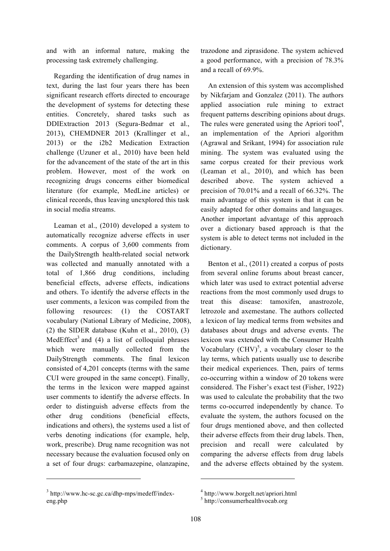and with an informal nature, making the processing task extremely challenging.

Regarding the identification of drug names in text, during the last four years there has been significant research efforts directed to encourage the development of systems for detecting these entities. Concretely, shared tasks such as DDIExtraction 2013 (Segura-Bedmar et al., 2013), CHEMDNER 2013 (Krallinger et al., 2013) or the i2b2 Medication Extraction challenge (Uzuner et al., 2010) have been held for the advancement of the state of the art in this problem. However, most of the work on recognizing drugs concerns either biomedical literature (for example, MedLine articles) or clinical records, thus leaving unexplored this task in social media streams.

Leaman et al., (2010) developed a system to automatically recognize adverse effects in user comments. A corpus of 3,600 comments from the DailyStrength health-related social network was collected and manually annotated with a total of 1,866 drug conditions, including beneficial effects, adverse effects, indications and others. To identify the adverse effects in the user comments, a lexicon was compiled from the following resources: (1) the COSTART vocabulary (National Library of Medicine, 2008),  $(2)$  the SIDER database (Kuhn et al., 2010),  $(3)$ MedEffect<sup>3</sup> and (4) a list of colloquial phrases which were manually collected from the DailyStrength comments. The final lexicon consisted of 4,201 concepts (terms with the same CUI were grouped in the same concept). Finally, the terms in the lexicon were mapped against user comments to identify the adverse effects. In order to distinguish adverse effects from the other drug conditions (beneficial effects, indications and others), the systems used a list of verbs denoting indications (for example, help, work, prescribe). Drug name recognition was not necessary because the evaluation focused only on a set of four drugs: carbamazepine, olanzapine,

<sup>3</sup> http://www.hc-sc.gc.ca/dhp-mps/medeff/indexeng.php

 $\overline{a}$ 

trazodone and ziprasidone. The system achieved a good performance, with a precision of 78.3% and a recall of 69.9%.

An extension of this system was accomplished by Nikfarjam and Gonzalez (2011). The authors applied association rule mining to extract frequent patterns describing opinions about drugs. The rules were generated using the Apriori tool<sup>4</sup>, an implementation of the Apriori algorithm (Agrawal and Srikant, 1994) for association rule mining. The system was evaluated using the same corpus created for their previous work (Leaman et al., 2010), and which has been described above. The system achieved a precision of 70.01% and a recall of 66.32%. The main advantage of this system is that it can be easily adapted for other domains and languages. Another important advantage of this approach over a dictionary based approach is that the system is able to detect terms not included in the dictionary.

Benton et al., (2011) created a corpus of posts from several online forums about breast cancer, which later was used to extract potential adverse reactions from the most commonly used drugs to treat this disease: tamoxifen, anastrozole, letrozole and axemestane. The authors collected a lexicon of lay medical terms from websites and databases about drugs and adverse events. The lexicon was extended with the Consumer Health Vocabulary  $(CHV)^5$ , a vocabulary closer to the lay terms, which patients usually use to describe their medical experiences. Then, pairs of terms co-occurring within a window of 20 tokens were considered. The Fisher's exact test (Fisher, 1922) was used to calculate the probability that the two terms co-occurred independently by chance. To evaluate the system, the authors focused on the four drugs mentioned above, and then collected their adverse effects from their drug labels. Then, precision and recall were calculated by comparing the adverse effects from drug labels and the adverse effects obtained by the system.

1

<sup>4</sup> http://www.borgelt.net/apriori.html

<sup>5</sup> http://consumerhealthvocab.org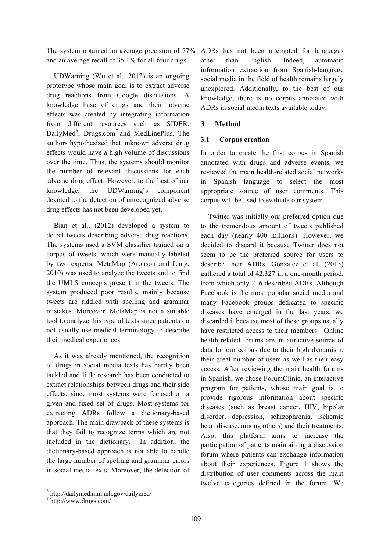The system obtained an average precision of 77% and an average recall of 35.1% for all four drugs.

UDWarning (Wu et al., 2012) is an ongoing prototype whose main goal is to extract adverse drug reactions from Google discussions. A knowledge base of drugs and their adverse effects was created by integrating information from different resources such as SIDER, DailyMed<sup>6</sup>, Drugs.com<sup>7</sup> and MedLinePlus. The authors hypothesized that unknown adverse drug effects would have a high volume of discussions over the time. Thus, the systems should monitor the number of relevant discussions for each adverse drug effect. However, to the best of our knowledge, the UDWarning's component devoted to the detection of unrecognized adverse drug effects has not been developed yet.

Bian et al., (2012) developed a system to detect tweets describing adverse drug reactions. The systems used a SVM classifier trained on a corpus of tweets, which were manually labeled by two experts. MetaMap (Aronson and Lang, 2010) was used to analyze the tweets and to find the UMLS concepts present in the tweets. The system produced poor results, mainly because tweets are riddled with spelling and grammar mistakes. Moreover, MetaMap is not a suitable tool to analyze this type of texts since patients do not usually use medical terminology to describe their medical experiences.

As it was already mentioned, the recognition of drugs in social media texts has hardly been tackled and little research has been conducted to extract relationships between drugs and their side effects, since most systems were focused on a given and fixed set of drugs. Most systems for extracting ADRs follow a dictionary-based approach. The main drawback of these systems is that they fail to recognize terms which are not included in the dictionary. In addition, the dictionary-based approach is not able to handle the large number of spelling and grammar errors in social media texts. Moreover, the detection of ADRs has not been attempted for languages other than English. Indeed, automatic information extraction from Spanish-language social media in the field of health remains largely unexplored. Additionally, to the best of our knowledge, there is no corpus annotated with ADRs in social media texts available today.

# **3 Method**

#### **3.1 Corpus creation**

In order to create the first corpus in Spanish annotated with drugs and adverse events, we reviewed the main health-related social networks in Spanish language to select the most appropriate source of user comments. This corpus will be used to evaluate our system.

Twitter was initially our preferred option due to the tremendous amount of tweets published each day (nearly 400 millions). However, we decided to discard it because Twitter does not seem to be the preferred source for users to describe their ADRs. Gonzalez et al. (2013) gathered a total of 42,327 in a one-month period, from which only 216 described ADRs. Although Facebook is the most popular social media and many Facebook groups dedicated to specific diseases have emerged in the last years, we discarded it because most of these groups usually have restricted access to their members. Online health-related forums are an attractive source of data for our corpus due to their high dynamism, their great number of users as well as their easy access. After reviewing the main health forums in Spanish, we chose ForumClinic, an interactive program for patients, whose main goal is to provide rigorous information about specific diseases (such as breast cancer, HIV, bipolar disorder, depression, schizophrenia, ischemic heart disease, among others) and their treatments. Also, this platform aims to increase the participation of patients maintaining a discussion forum where patients can exchange information about their experiences. Figure 1 shows the distribution of user comments across the main twelve categories defined in the forum. We

 $\overline{a}$ 

 $6$  http://dailymed.nlm.nih.gov/dailymed/

<sup>7</sup> http://www.drugs.com/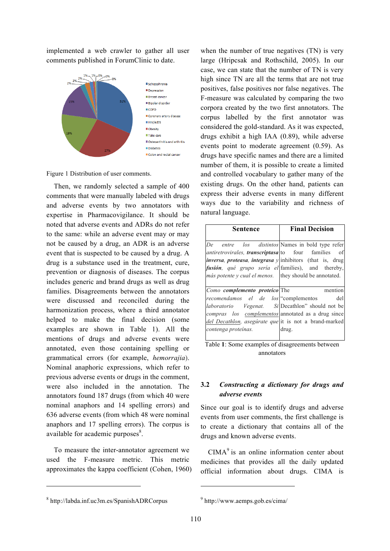implemented a web crawler to gather all user comments published in ForumClinic to date.



Figure 1 Distribution of user comments.

Then, we randomly selected a sample of 400 comments that were manually labeled with drugs and adverse events by two annotators with expertise in Pharmacovigilance. It should be noted that adverse events and ADRs do not refer to the same: while an adverse event may or may not be caused by a drug, an ADR is an adverse event that is suspected to be caused by a drug. A drug is a substance used in the treatment, cure, prevention or diagnosis of diseases. The corpus includes generic and brand drugs as well as drug families. Disagreements between the annotators were discussed and reconciled during the harmonization process, where a third annotator helped to make the final decision (some examples are shown in Table 1). All the mentions of drugs and adverse events were annotated, even those containing spelling or grammatical errors (for example, *hemorrajia*). Nominal anaphoric expressions, which refer to previous adverse events or drugs in the comment, were also included in the annotation. The annotators found 187 drugs (from which 40 were nominal anaphors and 14 spelling errors) and 636 adverse events (from which 48 were nominal anaphors and 17 spelling errors). The corpus is available for academic purposes<sup>8</sup>.

To measure the inter-annotator agreement we used the F-measure metric. This metric approximates the kappa coefficient (Cohen, 1960)

<sup>8</sup> http://labda.inf.uc3m.es/SpanishADRCorpus

 $\overline{a}$ 

when the number of true negatives (TN) is very large (Hripcsak and Rothschild, 2005). In our case, we can state that the number of TN is very high since TN are all the terms that are not true positives, false positives nor false negatives. The F-measure was calculated by comparing the two corpora created by the two first annotators. The corpus labelled by the first annotator was considered the gold-standard. As it was expected, drugs exhibit a high IAA (0.89), while adverse events point to moderate agreement (0.59). As drugs have specific names and there are a limited number of them, it is possible to create a limited and controlled vocabulary to gather many of the existing drugs. On the other hand, patients can express their adverse events in many different ways due to the variability and richness of natural language.

| Sentence                                                                                                                                                                                                                                                                                                        | <b>Final Decision</b> |
|-----------------------------------------------------------------------------------------------------------------------------------------------------------------------------------------------------------------------------------------------------------------------------------------------------------------|-----------------------|
| De entre los distintos Names in bold type refer<br>antiretrovirales, transcriptasa to four families of<br><i>inversa, proteasa, integrasa y</i> inhibitors (that is, drug<br><i>fusión</i> , <i>qué grupo sería el</i> families), and thereby,<br><i>más potente y cual el menos.</i> they should be annotated. |                       |
| Como complemento proteico The                                                                                                                                                                                                                                                                                   | mention               |
| recomendamos el de los "complementos                                                                                                                                                                                                                                                                            | del                   |
| <i>laboratorio Vegenat.</i> Si Decathlon" should not be                                                                                                                                                                                                                                                         |                       |
| compras los complementos annotated as a drug since                                                                                                                                                                                                                                                              |                       |
| del Decathlon, asegúrate que it is not a brand-marked                                                                                                                                                                                                                                                           |                       |
| contenga proteínas.                                                                                                                                                                                                                                                                                             | drug.                 |

Table **1**: Some examples of disagreements between annotators

# **3.2** *Constructing a dictionary for drugs and adverse events*

Since our goal is to identify drugs and adverse events from user comments, the first challenge is to create a dictionary that contains all of the drugs and known adverse events.

 $CIMA<sup>9</sup>$  is an online information center about medicines that provides all the daily updated official information about drugs. CIMA is

1

<sup>9</sup> http://www.aemps.gob.es/cima/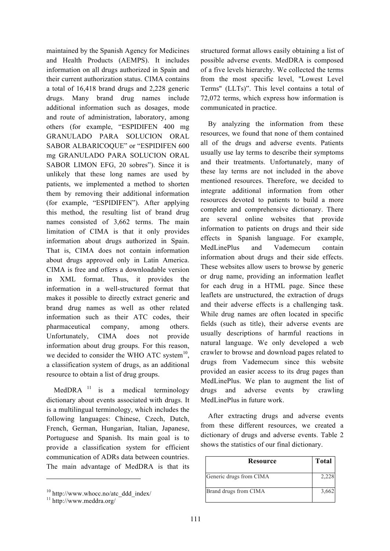maintained by the Spanish Agency for Medicines and Health Products (AEMPS). It includes information on all drugs authorized in Spain and their current authorization status. CIMA contains a total of 16,418 brand drugs and 2,228 generic drugs. Many brand drug names include additional information such as dosages, mode and route of administration, laboratory, among others (for example, "ESPIDIFEN 400 mg GRANULADO PARA SOLUCION ORAL SABOR ALBARICOQUE" or "ESPIDIFEN 600 mg GRANULADO PARA SOLUCION ORAL SABOR LIMON EFG, 20 sobres"). Since it is unlikely that these long names are used by patients, we implemented a method to shorten them by removing their additional information (for example, "ESPIDIFEN"). After applying this method, the resulting list of brand drug names consisted of 3,662 terms. The main limitation of CIMA is that it only provides information about drugs authorized in Spain. That is, CIMA does not contain information about drugs approved only in Latin America. CIMA is free and offers a downloadable version in XML format. Thus, it provides the information in a well-structured format that makes it possible to directly extract generic and brand drug names as well as other related information such as their ATC codes, their pharmaceutical company, among others. Unfortunately, CIMA does not provide information about drug groups. For this reason, we decided to consider the WHO ATC system $^{10}$ , a classification system of drugs, as an additional resource to obtain a list of drug groups.

MedDRA  $11$  is a medical terminology dictionary about events associated with drugs. It is a multilingual terminology, which includes the following languages: Chinese, Czech, Dutch, French, German, Hungarian, Italian, Japanese, Portuguese and Spanish. Its main goal is to provide a classification system for efficient communication of ADRs data between countries. The main advantage of MedDRA is that its

 $\overline{a}$ 

structured format allows easily obtaining a list of possible adverse events. MedDRA is composed of a five levels hierarchy. We collected the terms from the most specific level, "Lowest Level Terms" (LLTs)". This level contains a total of 72,072 terms, which express how information is communicated in practice.

By analyzing the information from these resources, we found that none of them contained all of the drugs and adverse events. Patients usually use lay terms to describe their symptoms and their treatments. Unfortunately, many of these lay terms are not included in the above mentioned resources. Therefore, we decided to integrate additional information from other resources devoted to patients to build a more complete and comprehensive dictionary. There are several online websites that provide information to patients on drugs and their side effects in Spanish language. For example, MedLinePlus and Vademecum contain information about drugs and their side effects. These websites allow users to browse by generic or drug name, providing an information leaflet for each drug in a HTML page. Since these leaflets are unstructured, the extraction of drugs and their adverse effects is a challenging task. While drug names are often located in specific fields (such as title), their adverse events are usually descriptions of harmful reactions in natural language. We only developed a web crawler to browse and download pages related to drugs from Vademecum since this website provided an easier access to its drug pages than MedLinePlus. We plan to augment the list of drugs and adverse events by crawling MedLinePlus in future work.

After extracting drugs and adverse events from these different resources, we created a dictionary of drugs and adverse events. Table 2 shows the statistics of our final dictionary.

| <b>Resource</b>         | <b>Total</b> |
|-------------------------|--------------|
| Generic drugs from CIMA | 2,228        |
| Brand drugs from CIMA   | 3,662        |

 $10 \frac{10 \text{ http://www.whole.no/ate_ddd_index/}}{11 \text{ http://www.meddra.org/}}$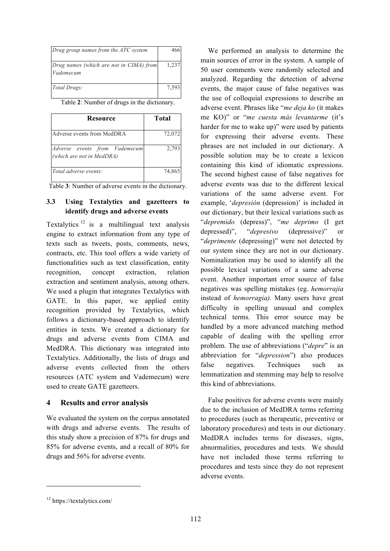| Drug group names from the ATC system                 | 466   |
|------------------------------------------------------|-------|
| Drug names (which are not in CIMA) from<br>Vademecum | 1,237 |
| Total Drugs:                                         | 7,593 |

Table **2**: Number of drugs in the dictionary.

| Resource                                                   | Total  |
|------------------------------------------------------------|--------|
| Adverse events from MedDRA                                 | 72,072 |
| Adverse events from Vademecum<br>(which are not in MedDRA) | 2,793  |
| Total adverse events:                                      | 74,865 |

Table **3**: Number of adverse events in the dictionary.

### **3.3 Using Textalytics and gazetteers to identify drugs and adverse events**

Textalytics<sup>12</sup> is a multilingual text analysis engine to extract information from any type of texts such as tweets, posts, comments, news, contracts, etc. This tool offers a wide variety of functionalities such as text classification, entity recognition, concept extraction, relation extraction and sentiment analysis, among others. We used a plugin that integrates Textalytics with GATE. In this paper, we applied entity recognition provided by Textalytics, which follows a dictionary-based approach to identify entities in texts. We created a dictionary for drugs and adverse events from CIMA and MedDRA. This dictionary was integrated into Textalytics. Additionally, the lists of drugs and adverse events collected from the others resources (ATC system and Vademecum) were used to create GATE gazetteers.

# **4 Results and error analysis**

We evaluated the system on the corpus annotated with drugs and adverse events. The results of this study show a precision of 87% for drugs and 85% for adverse events, and a recall of 80% for drugs and 56% for adverse events.

We performed an analysis to determine the main sources of error in the system. A sample of 50 user comments were randomly selected and analyzed. Regarding the detection of adverse events, the major cause of false negatives was the use of colloquial expressions to describe an adverse event. Phrases like "*me deja ko* (it makes me KO)" or "*me cuesta más levantarme* (it's harder for me to wake up)" were used by patients for expressing their adverse events. These phrases are not included in our dictionary. A possible solution may be to create a lexicon containing this kind of idiomatic expressions. The second highest cause of false negatives for adverse events was due to the different lexical variations of the same adverse event. For example, '*depresión* (depression)' is included in our dictionary, but their lexical variations such as "*depremido* (depress)", "*me deprimo* (I get depressed)", "*depresivo* (depressive)" or "*deprimente* (depressing)" were not detected by our system since they are not in our dictionary. Nominalization may be used to identify all the possible lexical variations of a same adverse event. Another important error source of false negatives was spelling mistakes (eg. *hemorrajia*  instead of *hemorragia).* Many users have great difficulty in spelling unusual and complex technical terms. This error source may be handled by a more advanced matching method capable of dealing with the spelling error problem. The use of abbreviations ("*depre*" is an abbreviation for "*depression*") also produces false negatives. Techniques such as lemmatization and stemming may help to resolve this kind of abbreviations.

False positives for adverse events were mainly due to the inclusion of MedDRA terms referring to procedures (such as therapeutic, preventive or laboratory procedures) and tests in our dictionary. MedDRA includes terms for diseases, signs, abnormalities, procedures and tests. We should have not included those terms referring to procedures and tests since they do not represent adverse events.

 $\overline{a}$ 

<sup>12</sup> https://textalytics.com/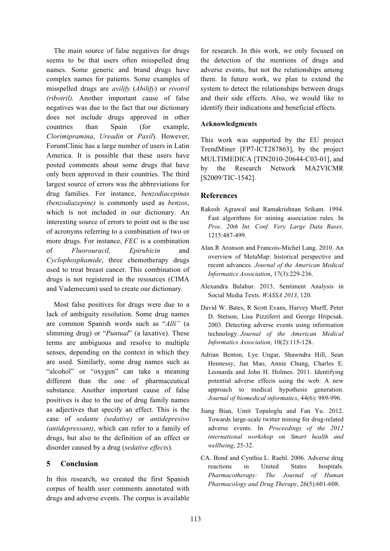The main source of false negatives for drugs seems to be that users often misspelled drug names. Some generic and brand drugs have complex names for patients. Some examples of misspelled drugs are *avilify* (*Abilify*) or *rivotril (ribotril).* Another important cause of false negatives was due to the fact that our dictionary does not include drugs approved in other countries than Spain (for example, *Clorimipramina*, *Ureadin* or *Paxil*). However, ForumClinic has a large number of users in Latin America. It is possible that these users have posted comments about some drugs that have only been approved in their countries. The third largest source of errors was the abbreviations for drug families. For instance, *benzodiacepinas (benzodiazepine)* is commonly used as *benzos*, which is not included in our dictionary. An interesting source of errors to point out is the use of acronyms referring to a combination of two or more drugs. For instance, *FEC* is a combination of *Fluorouracil, Epirubicin* and *Cyclophosphamide*, three chemotherapy drugs used to treat breast cancer. This combination of drugs is not registered in the resources (CIMA and Vademecum) used to create our dictionary.

Most false positives for drugs were due to a lack of ambiguity resolution. Some drug names are common Spanish words such as "*Allí"* (a slimming drug) or "*Puntual*" (a laxative). These terms are ambiguous and resolve to multiple senses, depending on the context in which they are used. Similarly, some drug names such as "alcohol" or "oxygen" can take a meaning different than the one of pharmaceutical substance. Another important cause of false positives is due to the use of drug family names as adjectives that specify an effect. This is the case of *sedante (sedative)* or *antidepresivo (antidepressant)*, which can refer to a family of drugs, but also to the definition of an effect or disorder caused by a drug (*sedative effects*).

# **5 Conclusion**

In this research, we created the first Spanish corpus of health user comments annotated with drugs and adverse events. The corpus is available

for research. In this work, we only focused on the detection of the mentions of drugs and adverse events, but not the relationships among them. In future work, we plan to extend the system to detect the relationships between drugs and their side effects. Also, we would like to identify their indications and beneficial effects.

#### **Acknowledgments**

This work was supported by the EU project TrendMiner [FP7-ICT287863], by the project MULTIMEDICA [TIN2010-20644-C03-01], and by the Research Network MA2VICMR [S2009/TIC-1542].

#### **References**

- Rakesh Agrawal and Ramakrishnan Srikant. 1994. Fast algorithms for mining association rules. In *Proc. 20th Int. Conf. Very Large Data Bases,*  1215:487-499.
- Alan R Aronson and Francois-Michel Lang. 2010. An overview of MetaMap: historical perspective and recent advances. *Journal of the American Medical Informatics Association*, 17(3):229-236.
- Alexandra Balahur. 2013. Sentiment Analysis in Social Media Texts. *WASSA 2013*, 120.
- David W. Bates, R Scott Evans, Harvey Murff, Peter D. Stetson, Lisa Pizziferri and George Hripcsak. 2003. Detecting adverse events using information technology. *Journal of the American Medical Informatics Association*, 10(2):115-128.
- Adrian Benton, Lye Ungar, Shawndra Hill, Sean Hennessy, Jun Mao, Annie Chung, Charles E. Leonarda and John H. Holmes. 2011. Identifying potential adverse effects using the web: A new approach to medical hypothesis generation. *Journal of biomedical informatics*, 44(6): 989-996.
- Jiang Bian, Umit Topaloglu and Fan Yu. 2012. Towards large-scale twitter mining for drug-related adverse events. In *Proceedings of the 2012 international workshop on Smart health and wellbeing*, 25-32.
- CA. Bond and Cynthia L. Raehl. 2006. Adverse drug reactions in United States hospitals. *Pharmacotherapy: The Journal of Human Pharmacology and Drug Therapy*, 26(5):601-608.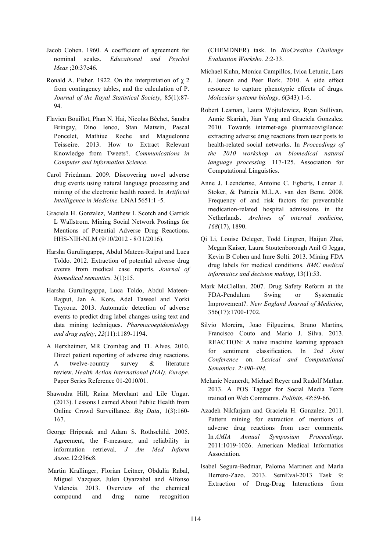- Jacob Cohen. 1960. A coefficient of agreement for nominal scales. *Educational and Psychol Meas* ;20:37e46.
- Ronald A. Fisher. 1922. On the interpretation of  $\chi$  2 from contingency tables, and the calculation of P. *Journal of the Royal Statistical Society*, 85(1):87- 94.
- Flavien Bouillot, Phan N. Hai, Nicolas Béchet, Sandra Bringay, Dino Ienco, Stan Matwin, Pascal Poncelet, Mathiue Roche and Maguelonne Teisseire. 2013. How to Extract Relevant Knowledge from Tweets?. *Communications in Computer and Information Science*.
- Carol Friedman. 2009. Discovering novel adverse drug events using natural language processing and mining of the electronic health record. In *Artificial Intelligence in Medicine.* LNAI 5651:1 -5.
- Graciela H. Gonzalez, Matthew L Scotch and Garrick L Wallstrom. Mining Social Network Postings for Mentions of Potential Adverse Drug Reactions. HHS-NIH-NLM (9/10/2012 - 8/31/2016).
- Harsha Gurulingappa, Abdul Mateen-Rajput and Luca Toldo. 2012. Extraction of potential adverse drug events from medical case reports. *Journal of biomedical semantics.* 3(1):15.
- Harsha Gurulingappa, Luca Toldo, Abdul Mateen-Rajput, Jan A. Kors, Adel Taweel and Yorki Tayrouz. 2013. Automatic detection of adverse events to predict drug label changes using text and data mining techniques. *Pharmacoepidemiology and drug safety*, *22*(11):1189-1194.
- A Herxheimer, MR Crombag and TL Alves. 2010. Direct patient reporting of adverse drug reactions. A twelve-country survey & literature review. *Health Action International (HAI). Europe.*  Paper Series Reference 01-2010/01.
- Shawndra Hill, Raina Merchant and Lile Ungar. (2013). Lessons Learned About Public Health from Online Crowd Surveillance. *Big Data*, 1(3):160- 167.
- George Hripcsak and Adam S. Rothschild. 2005. Agreement, the F-measure, and reliability in information retrieval. *J Am Med Inform Assoc*.12:296e8.
- Martin Krallinger, Florian Leitner, Obdulia Rabal, Miguel Vazquez, Julen Oyarzabal and Alfonso Valencia. 2013. Overview of the chemical compound and drug name recognition

(CHEMDNER) task. In *BioCreative Challenge Evaluation Worksho. 2*:2-33.

- Michael Kuhn, Monica Campillos, Ivica Letunic, Lars J. Jensen and Peer Bork. 2010. A side effect resource to capture phenotypic effects of drugs. *Molecular systems biology*, *6*(343):1-6.
- Robert Leaman, Laura Wojtulewicz, Ryan Sullivan, Annie Skariah, Jian Yang and Graciela Gonzalez. 2010. Towards internet-age pharmacovigilance: extracting adverse drug reactions from user posts to health-related social networks. In *Proceedings of the 2010 workshop on biomedical natural language processing.* 117-125. Association for Computational Linguistics.
- Anne J. Leendertse, Antoine C. Egberts, Lennar J. Stoker, & Patricia M.L.A. van den Bemt. 2008. Frequency of and risk factors for preventable medication-related hospital admissions in the Netherlands. *Archives of internal medicine*, *168*(17), 1890.
- Qi Li, Louise Deleger, Todd Lingren, Haijun Zhai, Megan Kaiser, Laura Stoutenborough Anil G Jegga, Kevin B Cohen and Imre Solti. 2013. Mining FDA drug labels for medical conditions. *BMC medical informatics and decision making*, 13(1):53.
- Mark McClellan. 2007. Drug Safety Reform at the FDA-Pendulum Swing or Systematic Improvement?. *New England Journal of Medicine*, 356(17):1700-1702.
- Silvio Moreira, Joao Filgueiras, Bruno Martins, Francisco Couto and Mario J. Silva. 2013. REACTION: A naive machine learning approach for sentiment classification. In *2nd Joint Conference* on. *Lexical and Computational Semantics. 2:490-494.*
- Melanie Neunerdt, Michael Reyer and Rudolf Mathar. 2013. A POS Tagger for Social Media Texts trained on Web Comments. *Polibits*, *48*:59-66.
- Azadeh Nikfarjam and Graciela H. Gonzalez. 2011. Pattern mining for extraction of mentions of adverse drug reactions from user comments. In *AMIA Annual Symposium Proceedings,*  2011:1019-1026. American Medical Informatics Association.
- Isabel Segura-Bedmar, Paloma Martınez and María Herrero-Zazo. 2013. SemEval-2013 Task 9: Extraction of Drug-Drug Interactions from